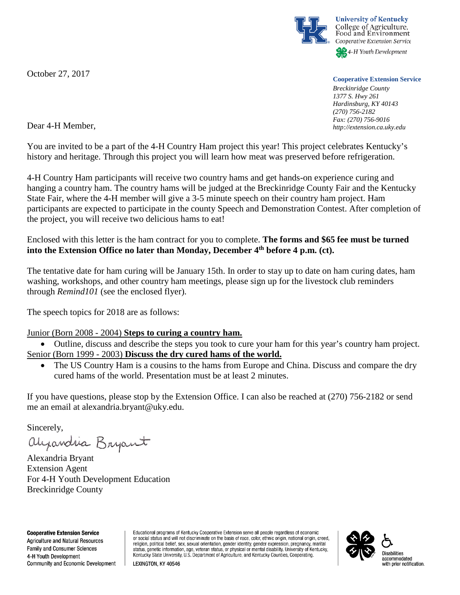October 27, 2017



## **Cooperative Extension Service**

*Breckinridge County 1377 S. Hwy 261 Hardinsburg, KY 40143 (270) 756-2182 Fax: (270) 756-9016 http://extension.ca.uky.edu*

Dear 4-H Member,

You are invited to be a part of the 4-H Country Ham project this year! This project celebrates Kentucky's history and heritage. Through this project you will learn how meat was preserved before refrigeration.

4-H Country Ham participants will receive two country hams and get hands-on experience curing and hanging a country ham. The country hams will be judged at the Breckinridge County Fair and the Kentucky State Fair, where the 4-H member will give a 3-5 minute speech on their country ham project. Ham participants are expected to participate in the county Speech and Demonstration Contest. After completion of the project, you will receive two delicious hams to eat!

Enclosed with this letter is the ham contract for you to complete. **The forms and \$65 fee must be turned into the Extension Office no later than Monday, December 4th before 4 p.m. (ct).**

The tentative date for ham curing will be January 15th. In order to stay up to date on ham curing dates, ham washing, workshops, and other country ham meetings, please sign up for the livestock club reminders through *Remind101* (see the enclosed flyer).

The speech topics for 2018 are as follows:

## Junior (Born 2008 - 2004) **Steps to curing a country ham.**

• Outline, discuss and describe the steps you took to cure your ham for this year's country ham project. Senior (Born 1999 - 2003) **Discuss the dry cured hams of the world.**

The US Country Ham is a cousins to the hams from Europe and China. Discuss and compare the dry cured hams of the world. Presentation must be at least 2 minutes.

If you have questions, please stop by the Extension Office. I can also be reached at (270) 756-2182 or send me an email at alexandria.bryant@uky.edu.

Sincerely,

alyandria Bryant

Alexandria Bryant Extension Agent For 4-H Youth Development Education Breckinridge County

**Cooperative Extension Service** Agriculture and Natural Resources Family and Consumer Sciences 4-H Youth Development Community and Economic Development Educational programs of Kentucky Cooperative Extension serve all people regardless of economic or social status and will not discriminate on the basis of race, color, ethnic origin, national origin, creed, religion, political belief, sex, sexual orientation, gender identity, gender expression, pregnancy, marital status, genetic information, age, veteran status, or physical or mental disability. University of Kentucky, Kentucky State University, U.S. Department of Agriculture, and Kentucky Counties, Cooperating.

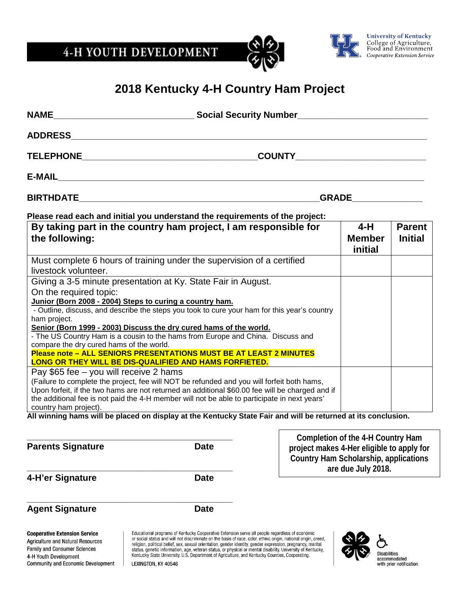4-H YOUTH DEVELOPMENT





## **2018 Kentucky 4-H Country Ham Project**

|                                                                                                                                                                                                                                                                                                                                                                                                                                                                                                                                                                                                                                                                                                                                                                                                                                                                                                                                                                                                                                                                                                                                                                                                                                                                                             | ADDRESS AND ARRAIGNMENT CONTROL IN THE STATE OF THE STATE OF THE STATE OF THE STATE OF THE STATE OF THE STATE O                                                                                                                                                                                                                                                                                                                                                                                                                                                         |                    |                                 |                                          |  |
|---------------------------------------------------------------------------------------------------------------------------------------------------------------------------------------------------------------------------------------------------------------------------------------------------------------------------------------------------------------------------------------------------------------------------------------------------------------------------------------------------------------------------------------------------------------------------------------------------------------------------------------------------------------------------------------------------------------------------------------------------------------------------------------------------------------------------------------------------------------------------------------------------------------------------------------------------------------------------------------------------------------------------------------------------------------------------------------------------------------------------------------------------------------------------------------------------------------------------------------------------------------------------------------------|-------------------------------------------------------------------------------------------------------------------------------------------------------------------------------------------------------------------------------------------------------------------------------------------------------------------------------------------------------------------------------------------------------------------------------------------------------------------------------------------------------------------------------------------------------------------------|--------------------|---------------------------------|------------------------------------------|--|
|                                                                                                                                                                                                                                                                                                                                                                                                                                                                                                                                                                                                                                                                                                                                                                                                                                                                                                                                                                                                                                                                                                                                                                                                                                                                                             | _COUNTY______________________________                                                                                                                                                                                                                                                                                                                                                                                                                                                                                                                                   |                    |                                 |                                          |  |
|                                                                                                                                                                                                                                                                                                                                                                                                                                                                                                                                                                                                                                                                                                                                                                                                                                                                                                                                                                                                                                                                                                                                                                                                                                                                                             |                                                                                                                                                                                                                                                                                                                                                                                                                                                                                                                                                                         |                    |                                 |                                          |  |
|                                                                                                                                                                                                                                                                                                                                                                                                                                                                                                                                                                                                                                                                                                                                                                                                                                                                                                                                                                                                                                                                                                                                                                                                                                                                                             |                                                                                                                                                                                                                                                                                                                                                                                                                                                                                                                                                                         | <b>GRADE STATE</b> |                                 |                                          |  |
|                                                                                                                                                                                                                                                                                                                                                                                                                                                                                                                                                                                                                                                                                                                                                                                                                                                                                                                                                                                                                                                                                                                                                                                                                                                                                             | Please read each and initial you understand the requirements of the project:                                                                                                                                                                                                                                                                                                                                                                                                                                                                                            |                    |                                 |                                          |  |
| the following:                                                                                                                                                                                                                                                                                                                                                                                                                                                                                                                                                                                                                                                                                                                                                                                                                                                                                                                                                                                                                                                                                                                                                                                                                                                                              | By taking part in the country ham project, I am responsible for                                                                                                                                                                                                                                                                                                                                                                                                                                                                                                         |                    | 4-H<br><b>Member</b><br>initial | <b>Parent</b><br><b>Initial</b>          |  |
| livestock volunteer.                                                                                                                                                                                                                                                                                                                                                                                                                                                                                                                                                                                                                                                                                                                                                                                                                                                                                                                                                                                                                                                                                                                                                                                                                                                                        | Must complete 6 hours of training under the supervision of a certified                                                                                                                                                                                                                                                                                                                                                                                                                                                                                                  |                    |                                 |                                          |  |
| Giving a 3-5 minute presentation at Ky. State Fair in August.<br>On the required topic:<br>Junior (Born 2008 - 2004) Steps to curing a country ham.<br>- Outline, discuss, and describe the steps you took to cure your ham for this year's country<br>ham project.<br>Senior (Born 1999 - 2003) Discuss the dry cured hams of the world.<br>- The US Country Ham is a cousin to the hams from Europe and China. Discuss and<br>compare the dry cured hams of the world.<br>Please note - ALL SENIORS PRESENTATIONS MUST BE AT LEAST 2 MINUTES<br>LONG OR THEY WILL BE DIS-QUALIFIED AND HAMS FORFIETED.<br>Pay \$65 fee - you will receive 2 hams<br>(Failure to complete the project, fee will NOT be refunded and you will forfeit both hams,<br>Upon forfeit, if the two hams are not returned an additional \$60.00 fee will be charged and if<br>the additional fee is not paid the 4-H member will not be able to participate in next years'<br>country ham project).<br>All winning hams will be placed on display at the Kentucky State Fair and will be returned at its conclusion.<br>Completion of the 4-H Country Ham<br>Parents Signature <b>Example 2 Server Signature</b> Date<br>project makes 4-Her eligible to apply for<br><b>Country Ham Scholarship, applications</b> |                                                                                                                                                                                                                                                                                                                                                                                                                                                                                                                                                                         |                    |                                 |                                          |  |
| 4-H'er Signature                                                                                                                                                                                                                                                                                                                                                                                                                                                                                                                                                                                                                                                                                                                                                                                                                                                                                                                                                                                                                                                                                                                                                                                                                                                                            | <b>Date</b>                                                                                                                                                                                                                                                                                                                                                                                                                                                                                                                                                             | are due July 2018. |                                 |                                          |  |
| <b>Agent Signature</b>                                                                                                                                                                                                                                                                                                                                                                                                                                                                                                                                                                                                                                                                                                                                                                                                                                                                                                                                                                                                                                                                                                                                                                                                                                                                      | <b>Date</b>                                                                                                                                                                                                                                                                                                                                                                                                                                                                                                                                                             |                    |                                 |                                          |  |
| <b>Cooperative Extension Service</b><br><b>Agriculture and Natural Resources</b><br><b>Family and Consumer Sciences</b><br>4-H Youth Development<br>Community and Economic Development                                                                                                                                                                                                                                                                                                                                                                                                                                                                                                                                                                                                                                                                                                                                                                                                                                                                                                                                                                                                                                                                                                      | Educational programs of Kentucky Cooperative Extension serve all people regardless of economic<br>or social status and will not discriminate on the basis of race, color, ethnic origin, national origin, creed,<br>religion, political belief, sex, sexual orientation, gender identity, gender expression, pregnancy, marital<br>status, genetic information, age, veteran status, or physical or mental disability. University of Kentucky,<br>Kentucky State University, U.S. Department of Agriculture, and Kentucky Counties, Cooperating.<br>LEXINGTON, KY 40546 |                    | Disabilities                    | accommodated<br>with prior notification. |  |